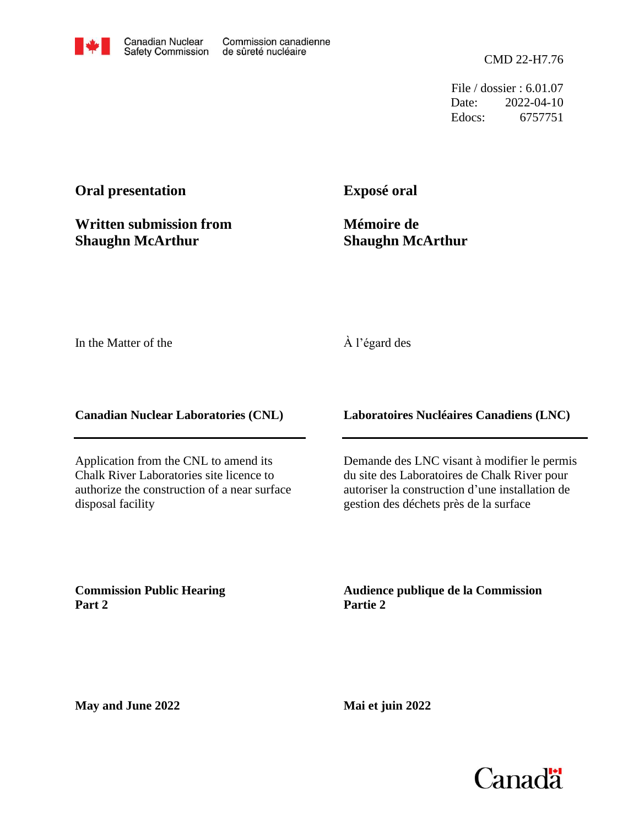

File / dossier : 6.01.07 Date: 2022-04-10 Edocs: 6757751

# **Oral presentation**

**Written submission from Shaughn McArthur**

**Exposé oral**

**Mémoire de Shaughn McArthur**

In the Matter of the

## À l'égard des

**Canadian Nuclear Laboratories (CNL)**

Application from the CNL to amend its Chalk River Laboratories site licence to authorize the construction of a near surface disposal facility

**Laboratoires Nucléaires Canadiens (LNC)**

Demande des LNC visant à modifier le permis du site des Laboratoires de Chalk River pour autoriser la construction d'une installation de gestion des déchets près de la surface

**Commission Public Hearing Part 2**

**Audience publique de la Commission Partie 2**

**May and June 2022**

**Mai et juin 2022**

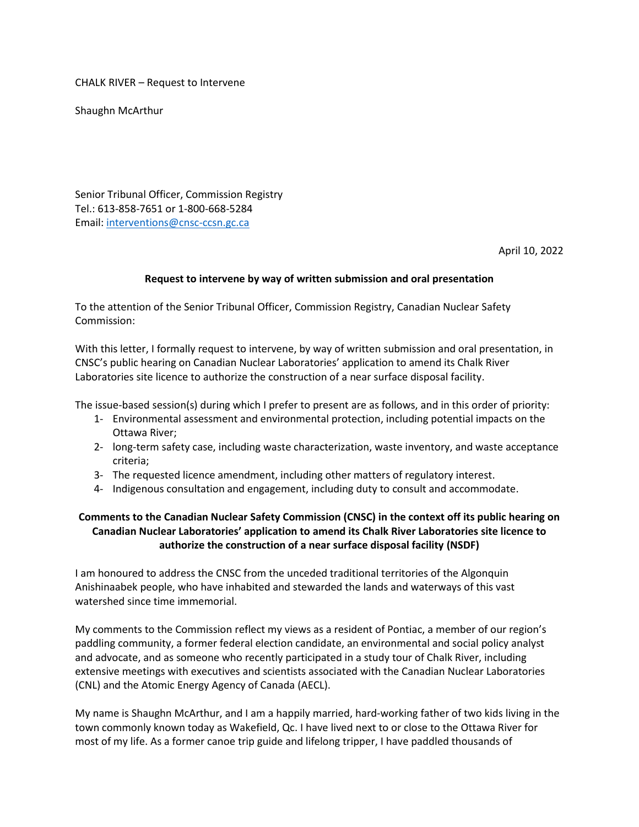CHALK RIVER – Request to Intervene

Shaughn McArthur

Senior Tribunal Officer, Commission Registry Tel.: 613-858-7651 or 1-800-668-5284 Email: [interventions@cnsc-ccsn.gc.ca](mailto:interventions@cnsc-ccsn.gc.ca)

April 10, 2022

### **Request to intervene by way of written submission and oral presentation**

To the attention of the Senior Tribunal Officer, Commission Registry, Canadian Nuclear Safety Commission:

With this letter, I formally request to intervene, by way of written submission and oral presentation, in CNSC's public hearing on Canadian Nuclear Laboratories' application to amend its Chalk River Laboratories site licence to authorize the construction of a near surface disposal facility.

The issue-based session(s) during which I prefer to present are as follows, and in this order of priority:

- 1- Environmental assessment and environmental protection, including potential impacts on the Ottawa River;
- 2- long-term safety case, including waste characterization, waste inventory, and waste acceptance criteria;
- 3- The requested licence amendment, including other matters of regulatory interest.
- 4- Indigenous consultation and engagement, including duty to consult and accommodate.

### **Comments to the Canadian Nuclear Safety Commission (CNSC) in the context off its public hearing on Canadian Nuclear Laboratories' application to amend its Chalk River Laboratories site licence to authorize the construction of a near surface disposal facility (NSDF)**

I am honoured to address the CNSC from the unceded traditional territories of the Algonquin Anishinaabek people, who have inhabited and stewarded the lands and waterways of this vast watershed since time immemorial.

My comments to the Commission reflect my views as a resident of Pontiac, a member of our region's paddling community, a former federal election candidate, an environmental and social policy analyst and advocate, and as someone who recently participated in a study tour of Chalk River, including extensive meetings with executives and scientists associated with the Canadian Nuclear Laboratories (CNL) and the Atomic Energy Agency of Canada (AECL).

My name is Shaughn McArthur, and I am a happily married, hard-working father of two kids living in the town commonly known today as Wakefield, Qc. I have lived next to or close to the Ottawa River for most of my life. As a former canoe trip guide and lifelong tripper, I have paddled thousands of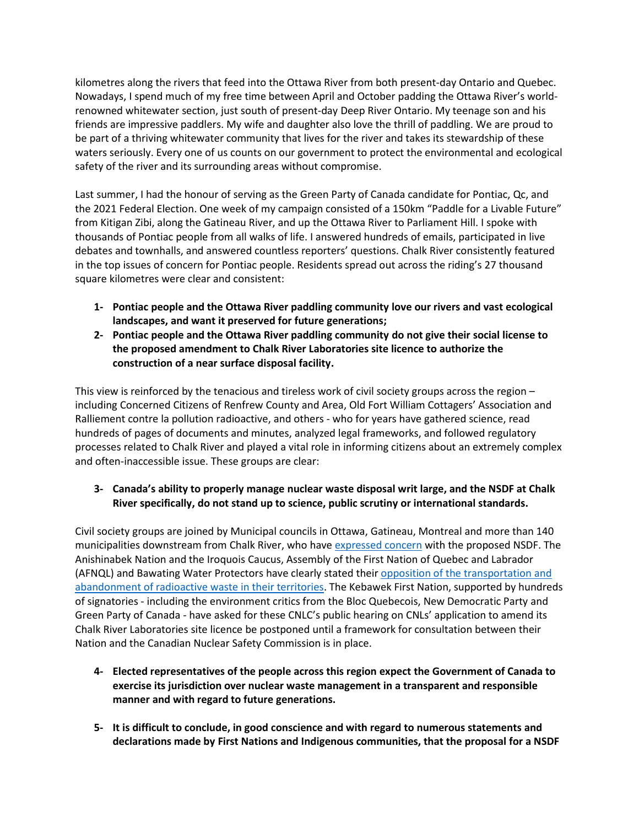kilometres along the rivers that feed into the Ottawa River from both present-day Ontario and Quebec. Nowadays, I spend much of my free time between April and October padding the Ottawa River's worldrenowned whitewater section, just south of present-day Deep River Ontario. My teenage son and his friends are impressive paddlers. My wife and daughter also love the thrill of paddling. We are proud to be part of a thriving whitewater community that lives for the river and takes its stewardship of these waters seriously. Every one of us counts on our government to protect the environmental and ecological safety of the river and its surrounding areas without compromise.

Last summer, I had the honour of serving as the Green Party of Canada candidate for Pontiac, Qc, and the 2021 Federal Election. One week of my campaign consisted of a 150km "Paddle for a Livable Future" from Kitigan Zibi, along the Gatineau River, and up the Ottawa River to Parliament Hill. I spoke with thousands of Pontiac people from all walks of life. I answered hundreds of emails, participated in live debates and townhalls, and answered countless reporters' questions. Chalk River consistently featured in the top issues of concern for Pontiac people. Residents spread out across the riding's 27 thousand square kilometres were clear and consistent:

- **1- Pontiac people and the Ottawa River paddling community love our rivers and vast ecological landscapes, and want it preserved for future generations;**
- **2- Pontiac people and the Ottawa River paddling community do not give their social license to the proposed amendment to Chalk River Laboratories site licence to authorize the construction of a near surface disposal facility.**

This view is reinforced by the tenacious and tireless work of civil society groups across the region – including Concerned Citizens of Renfrew County and Area, Old Fort William Cottagers' Association and Ralliement contre la pollution radioactive, and others - who for years have gathered science, read hundreds of pages of documents and minutes, analyzed legal frameworks, and followed regulatory processes related to Chalk River and played a vital role in informing citizens about an extremely complex and often-inaccessible issue. These groups are clear:

### **3- Canada's ability to properly manage nuclear waste disposal writ large, and the NSDF at Chalk River specifically, do not stand up to science, public scrutiny or international standards.**

Civil society groups are joined by Municipal councils in Ottawa, Gatineau, Montreal and more than 140 municipalities downstream from Chalk River, who have [expressed concern](https://concernedcitizens.net/2022/02/15/statement-on-suspension-of-licensing-hearings-for-a-radioactive-waste-dump-beside-the-ottawa-river/) with the proposed NSDF. The Anishinabek Nation and the Iroquois Caucus, Assembly of the First Nation of Quebec and Labrador (AFNQL) and Bawating Water Protectors have clearly stated their [opposition of the transportation and](https://www.anishinabek.ca/2017/05/02/joint-declaration-between-the-anishinabek-nation-and-the-iroquois-caucus-on-the-transport-and-abandonment-of-radioactive-waste/)  [abandonment of radioactive waste in their territories.](https://www.anishinabek.ca/2017/05/02/joint-declaration-between-the-anishinabek-nation-and-the-iroquois-caucus-on-the-transport-and-abandonment-of-radioactive-waste/) The Kebawek First Nation, supported by hundreds of signatories - including the environment critics from the Bloc Quebecois, New Democratic Party and Green Party of Canada - have asked for these CNLC's public hearing on CNLs' application to amend its Chalk River Laboratories site licence be postponed until a framework for consultation between their Nation and the Canadian Nuclear Safety Commission is in place.

- **4- Elected representatives of the people across this region expect the Government of Canada to exercise its jurisdiction over nuclear waste management in a transparent and responsible manner and with regard to future generations.**
- **5- It is difficult to conclude, in good conscience and with regard to numerous statements and declarations made by First Nations and Indigenous communities, that the proposal for a NSDF**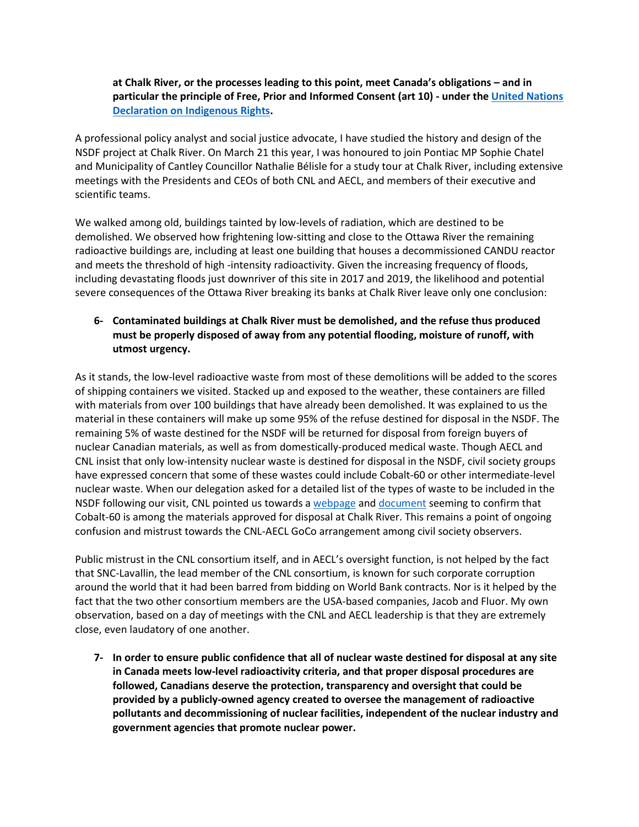**at Chalk River, or the processes leading to this point, meet Canada's obligations – and in particular the principle of Free, Prior and Informed Consent (art 10) - under the [United Nations](https://www.un.org/esa/socdev/unpfii/documents/DRIPS_en.pdf)  [Declaration on Indigenous](https://www.un.org/esa/socdev/unpfii/documents/DRIPS_en.pdf) Rights.**

A professional policy analyst and social justice advocate, I have studied the history and design of the NSDF project at Chalk River. On March 21 this year, I was honoured to join Pontiac MP Sophie Chatel and Municipality of Cantley Councillor Nathalie Bélisle for a study tour at Chalk River, including extensive meetings with the Presidents and CEOs of both CNL and AECL, and members of their executive and scientific teams.

We walked among old, buildings tainted by low-levels of radiation, which are destined to be demolished. We observed how frightening low-sitting and close to the Ottawa River the remaining radioactive buildings are, including at least one building that houses a decommissioned CANDU reactor and meets the threshold of high -intensity radioactivity. Given the increasing frequency of floods, including devastating floods just downriver of this site in 2017 and 2019, the likelihood and potential severe consequences of the Ottawa River breaking its banks at Chalk River leave only one conclusion:

### **6- Contaminated buildings at Chalk River must be demolished, and the refuse thus produced must be properly disposed of away from any potential flooding, moisture of runoff, with utmost urgency.**

As it stands, the low-level radioactive waste from most of these demolitions will be added to the scores of shipping containers we visited. Stacked up and exposed to the weather, these containers are filled with materials from over 100 buildings that have already been demolished. It was explained to us the material in these containers will make up some 95% of the refuse destined for disposal in the NSDF. The remaining 5% of waste destined for the NSDF will be returned for disposal from foreign buyers of nuclear Canadian materials, as well as from domestically-produced medical waste. Though AECL and CNL insist that only low-intensity nuclear waste is destined for disposal in the NSDF, civil society groups have expressed concern that some of these wastes could include Cobalt-60 or other intermediate-level nuclear waste. When our delegation asked for a detailed list of the types of waste to be included in the NSDF following our visit, CNL pointed us towards a [webpage](https://www.cnl.ca/environmental-stewardship/near-surface-disposal-facility-nsdf/) and [document](https://www.cnl.ca/wp-content/uploads/2021/03/Near-Surface-Disposal-Facility-Waste-Acceptance-Criteria-Rev-4_EN.pdf) seeming to confirm that Cobalt-60 is among the materials approved for disposal at Chalk River. This remains a point of ongoing confusion and mistrust towards the CNL-AECL GoCo arrangement among civil society observers.

Public mistrust in the CNL consortium itself, and in AECL's oversight function, is not helped by the fact that SNC-Lavallin, the lead member of the CNL consortium, is known for such corporate corruption around the world that it had been barred from bidding on World Bank contracts. Nor is it helped by the fact that the two other consortium members are the USA-based companies, Jacob and Fluor. My own observation, based on a day of meetings with the CNL and AECL leadership is that they are extremely close, even laudatory of one another.

**7- In order to ensure public confidence that all of nuclear waste destined for disposal at any site in Canada meets low-level radioactivity criteria, and that proper disposal procedures are followed, Canadians deserve the protection, transparency and oversight that could be provided by a publicly-owned agency created to oversee the management of radioactive pollutants and decommissioning of nuclear facilities, independent of the nuclear industry and government agencies that promote nuclear power.**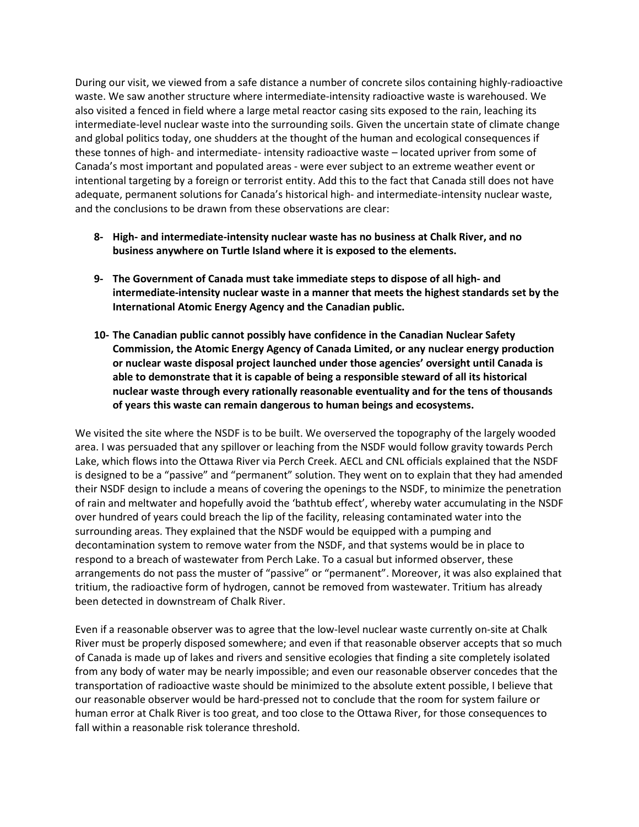During our visit, we viewed from a safe distance a number of concrete silos containing highly-radioactive waste. We saw another structure where intermediate-intensity radioactive waste is warehoused. We also visited a fenced in field where a large metal reactor casing sits exposed to the rain, leaching its intermediate-level nuclear waste into the surrounding soils. Given the uncertain state of climate change and global politics today, one shudders at the thought of the human and ecological consequences if these tonnes of high- and intermediate- intensity radioactive waste – located upriver from some of Canada's most important and populated areas - were ever subject to an extreme weather event or intentional targeting by a foreign or terrorist entity. Add this to the fact that Canada still does not have adequate, permanent solutions for Canada's historical high- and intermediate-intensity nuclear waste, and the conclusions to be drawn from these observations are clear:

- **8- High- and intermediate-intensity nuclear waste has no business at Chalk River, and no business anywhere on Turtle Island where it is exposed to the elements.**
- **9- The Government of Canada must take immediate steps to dispose of all high- and intermediate-intensity nuclear waste in a manner that meets the highest standards set by the International Atomic Energy Agency and the Canadian public.**
- **10- The Canadian public cannot possibly have confidence in the Canadian Nuclear Safety Commission, the Atomic Energy Agency of Canada Limited, or any nuclear energy production or nuclear waste disposal project launched under those agencies' oversight until Canada is able to demonstrate that it is capable of being a responsible steward of all its historical nuclear waste through every rationally reasonable eventuality and for the tens of thousands of years this waste can remain dangerous to human beings and ecosystems.**

We visited the site where the NSDF is to be built. We overserved the topography of the largely wooded area. I was persuaded that any spillover or leaching from the NSDF would follow gravity towards Perch Lake, which flows into the Ottawa River via Perch Creek. AECL and CNL officials explained that the NSDF is designed to be a "passive" and "permanent" solution. They went on to explain that they had amended their NSDF design to include a means of covering the openings to the NSDF, to minimize the penetration of rain and meltwater and hopefully avoid the 'bathtub effect', whereby water accumulating in the NSDF over hundred of years could breach the lip of the facility, releasing contaminated water into the surrounding areas. They explained that the NSDF would be equipped with a pumping and decontamination system to remove water from the NSDF, and that systems would be in place to respond to a breach of wastewater from Perch Lake. To a casual but informed observer, these arrangements do not pass the muster of "passive" or "permanent". Moreover, it was also explained that tritium, the radioactive form of hydrogen, cannot be removed from wastewater. Tritium has already been detected in downstream of Chalk River.

Even if a reasonable observer was to agree that the low-level nuclear waste currently on-site at Chalk River must be properly disposed somewhere; and even if that reasonable observer accepts that so much of Canada is made up of lakes and rivers and sensitive ecologies that finding a site completely isolated from any body of water may be nearly impossible; and even our reasonable observer concedes that the transportation of radioactive waste should be minimized to the absolute extent possible, I believe that our reasonable observer would be hard-pressed not to conclude that the room for system failure or human error at Chalk River is too great, and too close to the Ottawa River, for those consequences to fall within a reasonable risk tolerance threshold.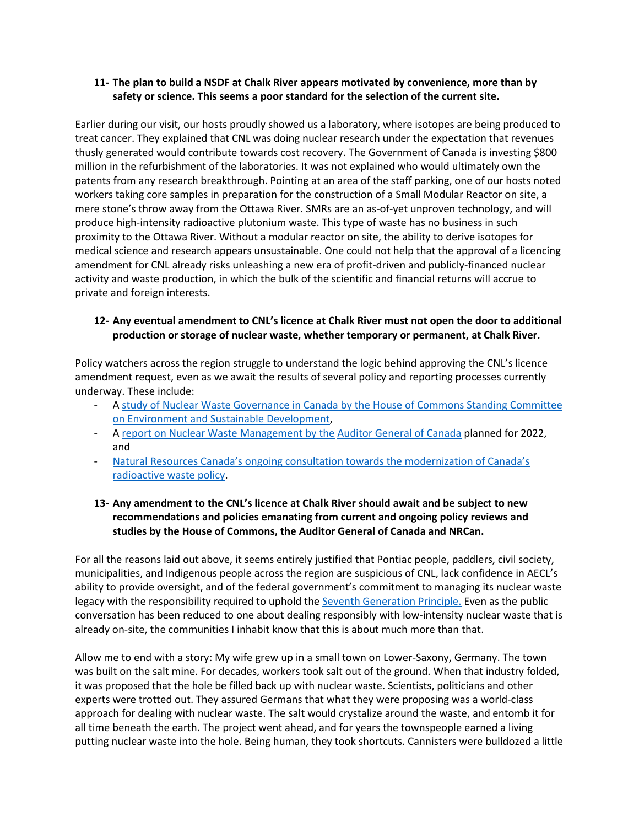#### **11- The plan to build a NSDF at Chalk River appears motivated by convenience, more than by safety or science. This seems a poor standard for the selection of the current site.**

Earlier during our visit, our hosts proudly showed us a laboratory, where isotopes are being produced to treat cancer. They explained that CNL was doing nuclear research under the expectation that revenues thusly generated would contribute towards cost recovery. The Government of Canada is investing \$800 million in the refurbishment of the laboratories. It was not explained who would ultimately own the patents from any research breakthrough. Pointing at an area of the staff parking, one of our hosts noted workers taking core samples in preparation for the construction of a Small Modular Reactor on site, a mere stone's throw away from the Ottawa River. SMRs are an as-of-yet unproven technology, and will produce high-intensity radioactive plutonium waste. This type of waste has no business in such proximity to the Ottawa River. Without a modular reactor on site, the ability to derive isotopes for medical science and research appears unsustainable. One could not help that the approval of a licencing amendment for CNL already risks unleashing a new era of profit-driven and publicly-financed nuclear activity and waste production, in which the bulk of the scientific and financial returns will accrue to private and foreign interests.

### **12- Any eventual amendment to CNL's licence at Chalk River must not open the door to additional production or storage of nuclear waste, whether temporary or permanent, at Chalk River.**

Policy watchers across the region struggle to understand the logic behind approving the CNL's licence amendment request, even as we await the results of several policy and reporting processes currently underway. These include:

- A [study of Nuclear Waste Governance in Canada by the House of Commons](https://www.ourcommons.ca/Committees/en/ENVI/StudyActivity?studyActivityId=11488326) Standing Committee [on Environment and Sustainable Development,](https://www.ourcommons.ca/Committees/en/ENVI/StudyActivity?studyActivityId=11488326)
- A report on Nuclear Waste [Management by](https://www1.oag-bvg.gc.ca/internet/English/parl_fs_e_43659.html#environmental) the [Auditor General of Canada](https://www1.oag-bvg.gc.ca/internet/English/parl_fs_e_43659.html#environmental) planned for 2022, and
- [Natural Resources Canada](https://www.rncanengagenrcan.ca/en/collections/modernizing-canadas-radioactive-waste-policy)'s ongoing consultation towards the modernization of Canada's radioactive [waste policy.](https://www.rncanengagenrcan.ca/en/collections/modernizing-canadas-radioactive-waste-policy)
- **13- Any amendment to the CNL's licence at Chalk River should await and be subject to new recommendations and policies emanating from current and ongoing policy reviews and studies by the House of Commons, the Auditor General of Canada and NRCan.**

For all the reasons laid out above, it seems entirely justified that Pontiac people, paddlers, civil society, municipalities, and Indigenous people across the region are suspicious of CNL, lack confidence in AECL's ability to provide oversight, and of the federal government's commitment to managing its nuclear waste legacy with the responsibility required to uphold the [Seventh Generation Principle.](https://www.ictinc.ca/blog/seventh-generation-principle) Even as the public conversation has been reduced to one about dealing responsibly with low-intensity nuclear waste that is already on-site, the communities I inhabit know that this is about much more than that.

Allow me to end with a story: My wife grew up in a small town on Lower-Saxony, Germany. The town was built on the salt mine. For decades, workers took salt out of the ground. When that industry folded, it was proposed that the hole be filled back up with nuclear waste. Scientists, politicians and other experts were trotted out. They assured Germans that what they were proposing was a world-class approach for dealing with nuclear waste. The salt would crystalize around the waste, and entomb it for all time beneath the earth. The project went ahead, and for years the townspeople earned a living putting nuclear waste into the hole. Being human, they took shortcuts. Cannisters were bulldozed a little